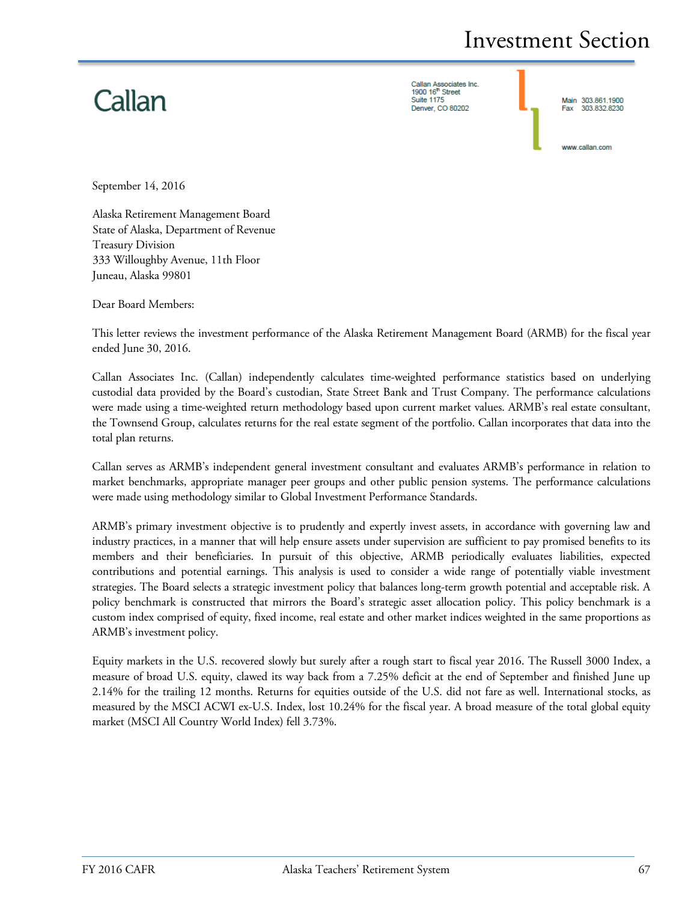# Callan

Callan Associates Inc.<br>1900 16<sup>th</sup> Street **Suite 1175** Denver, CO 80202

Main 303.861.1900 303.832.8230 Fax

www.callan.com

September 14, 2016

Alaska Retirement Management Board State of Alaska, Department of Revenue Treasury Division 333 Willoughby Avenue, 11th Floor Juneau, Alaska 99801

Dear Board Members:

This letter reviews the investment performance of the Alaska Retirement Management Board (ARMB) for the fiscal year ended June 30, 2016.

Callan Associates Inc. (Callan) independently calculates time-weighted performance statistics based on underlying custodial data provided by the Board's custodian, State Street Bank and Trust Company. The performance calculations were made using a time-weighted return methodology based upon current market values. ARMB's real estate consultant, the Townsend Group, calculates returns for the real estate segment of the portfolio. Callan incorporates that data into the total plan returns.

Callan serves as ARMB's independent general investment consultant and evaluates ARMB's performance in relation to market benchmarks, appropriate manager peer groups and other public pension systems. The performance calculations were made using methodology similar to Global Investment Performance Standards.

ARMB's primary investment objective is to prudently and expertly invest assets, in accordance with governing law and industry practices, in a manner that will help ensure assets under supervision are sufficient to pay promised benefits to its members and their beneficiaries. In pursuit of this objective, ARMB periodically evaluates liabilities, expected contributions and potential earnings. This analysis is used to consider a wide range of potentially viable investment strategies. The Board selects a strategic investment policy that balances long-term growth potential and acceptable risk. A policy benchmark is constructed that mirrors the Board's strategic asset allocation policy. This policy benchmark is a custom index comprised of equity, fixed income, real estate and other market indices weighted in the same proportions as ARMB's investment policy.

Equity markets in the U.S. recovered slowly but surely after a rough start to fiscal year 2016. The Russell 3000 Index, a measure of broad U.S. equity, clawed its way back from a 7.25% deficit at the end of September and finished June up 2.14% for the trailing 12 months. Returns for equities outside of the U.S. did not fare as well. International stocks, as measured by the MSCI ACWI ex-U.S. Index, lost 10.24% for the fiscal year. A broad measure of the total global equity market (MSCI All Country World Index) fell 3.73%.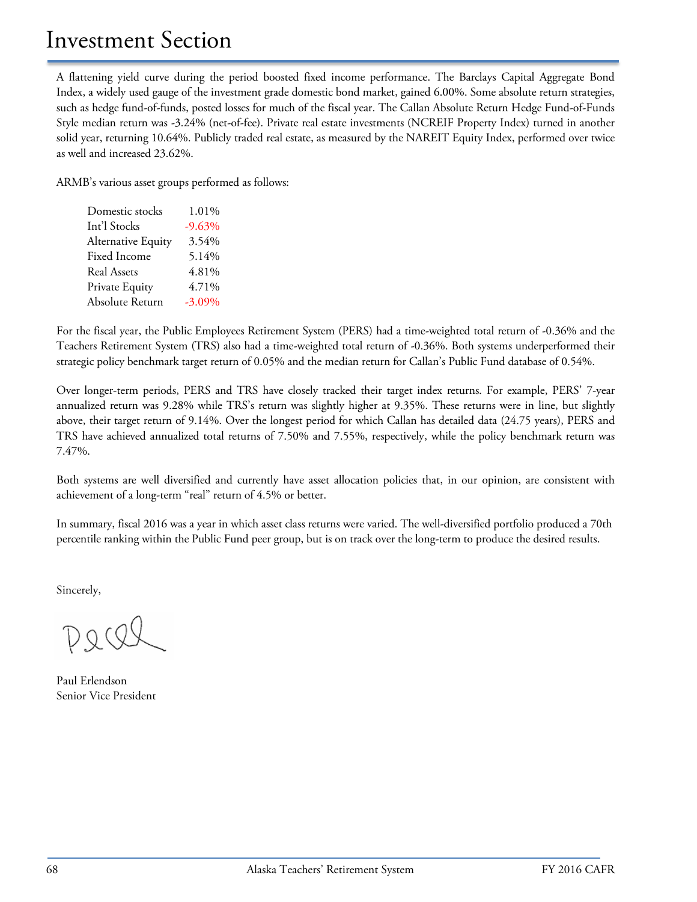A flattening yield curve during the period boosted fixed income performance. The Barclays Capital Aggregate Bond Index, a widely used gauge of the investment grade domestic bond market, gained 6.00%. Some absolute return strategies, such as hedge fund-of-funds, posted losses for much of the fiscal year. The Callan Absolute Return Hedge Fund-of-Funds Style median return was -3.24% (net-of-fee). Private real estate investments (NCREIF Property Index) turned in another solid year, returning 10.64%. Publicly traded real estate, as measured by the NAREIT Equity Index, performed over twice as well and increased 23.62%.

ARMB's various asset groups performed as follows:

| 1.01%     |
|-----------|
| $-9.63%$  |
| 3.54%     |
| 5.14%     |
| 4.81%     |
| 4.71%     |
| $-3.09\%$ |
|           |

For the fiscal year, the Public Employees Retirement System (PERS) had a time-weighted total return of -0.36% and the Teachers Retirement System (TRS) also had a time-weighted total return of -0.36%. Both systems underperformed their strategic policy benchmark target return of 0.05% and the median return for Callan's Public Fund database of 0.54%.

Over longer-term periods, PERS and TRS have closely tracked their target index returns. For example, PERS' 7-year annualized return was 9.28% while TRS's return was slightly higher at 9.35%. These returns were in line, but slightly above, their target return of 9.14%. Over the longest period for which Callan has detailed data (24.75 years), PERS and TRS have achieved annualized total returns of 7.50% and 7.55%, respectively, while the policy benchmark return was 7.47%.

Both systems are well diversified and currently have asset allocation policies that, in our opinion, are consistent with achievement of a long-term "real" return of 4.5% or better.

In summary, fiscal 2016 was a year in which asset class returns were varied. The well-diversified portfolio produced a 70th percentile ranking within the Public Fund peer group, but is on track over the long-term to produce the desired results.

Sincerely,

Paul Erlendson Senior Vice President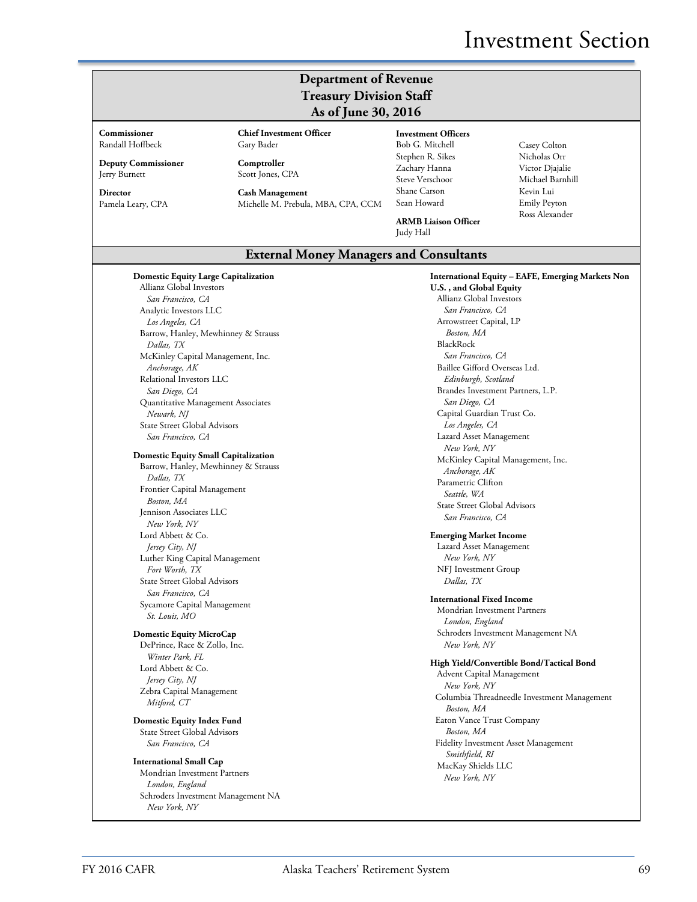## **Department of Revenue Treasury Division Staff As of June 30, 2016**

#### **Commissioner** Randall Hoffbeck

**Deputy Commissioner** Jerry Burnett

**Director** Pamela Leary, CPA **Chief Investment Officer** Gary Bader **Comptroller**

Scott Jones, CPA **Cash Management**

Michelle M. Prebula, MBA, CPA, CCM

#### **Investment Officers**

Bob G. Mitchell Stephen R. Sikes Zachary Hanna Steve Verschoor Shane Carson Sean Howard

**ARMB Liaison Officer**

Judy Hall

Casey Colton Nicholas Orr Victor Djajalie Michael Barnhill Kevin Lui Emily Peyton Ross Alexander

**International Equity – EAFE, Emerging Markets Non** 

**External Money Managers and Consultants**

#### **Domestic Equity Large Capitalization** Allianz Global Investors *San Francisco, CA* Analytic Investors LLC *Los Angeles, CA* Barrow, Hanley, Mewhinney & Strauss *Dallas, TX* McKinley Capital Management, Inc. *Anchorage, AK* Relational Investors LLC *San Diego, CA* Quantitative Management Associates *Newark, NJ* State Street Global Advisors *San Francisco, CA*

### **Domestic Equity Small Capitalization**

Barrow, Hanley, Mewhinney & Strauss *Dallas, TX* Frontier Capital Management *Boston, MA* Jennison Associates LLC *New York, NY* Lord Abbett & Co. *Jersey City, NJ* Luther King Capital Management *Fort Worth, TX* State Street Global Advisors *San Francisco, CA* Sycamore Capital Management *St. Louis, MO*

## **Domestic Equity MicroCap**

DePrince, Race & Zollo, Inc. *Winter Park, FL* Lord Abbett & Co. *Jersey City, NJ* Zebra Capital Management *Mitford, CT*

**Domestic Equity Index Fund** State Street Global Advisors *San Francisco, CA*

#### **International Small Cap** Mondrian Investment Partners *London, England* Schroders Investment Management NA *New York, NY*

**U.S. , and Global Equity** Allianz Global Investors *San Francisco, CA* Arrowstreet Capital, LP *Boston, MA* BlackRock *San Francisco, CA* Baillee Gifford Overseas Ltd. *Edinburgh, Scotland* Brandes Investment Partners, L.P. *San Diego, CA* Capital Guardian Trust Co. *Los Angeles, CA* Lazard Asset Management *New York, NY* McKinley Capital Management, Inc. *Anchorage, AK* Parametric Clifton *Seattle, WA* State Street Global Advisors *San Francisco, CA* **Emerging Market Income** Lazard Asset Management *New York, NY* NFJ Investment Group *Dallas, TX* **International Fixed Income** Mondrian Investment Partners *London, England* Schroders Investment Management NA *New York, NY* **High Yield/Convertible Bond/Tactical Bond** Advent Capital Management *New York, NY* Columbia Threadneedle Investment Management *Boston, MA* Eaton Vance Trust Company *Boston, MA*

Fidelity Investment Asset Management *Smithfield, RI* MacKay Shields LLC *New York, NY*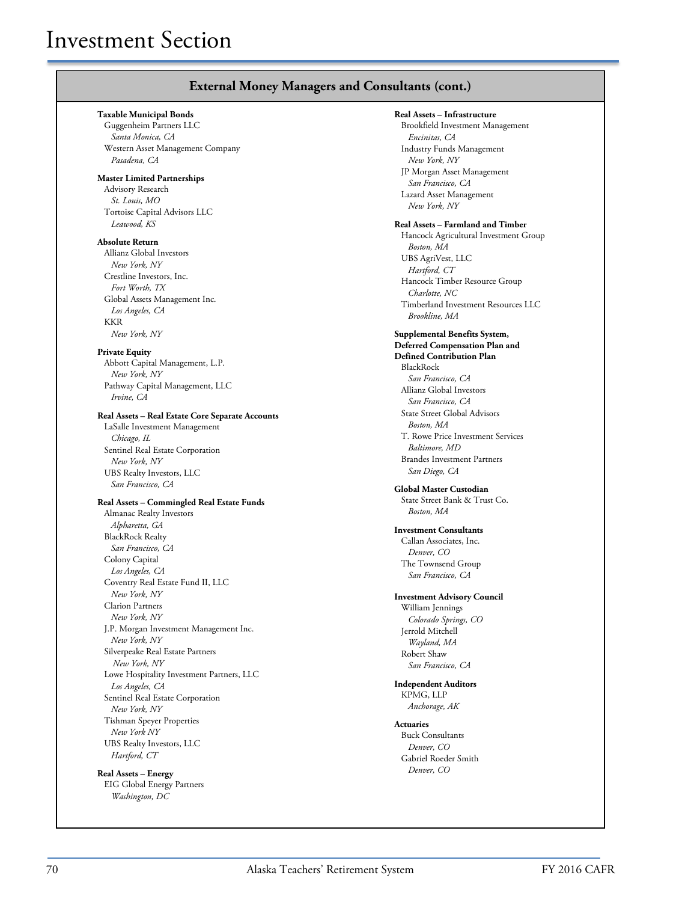## **External Money Managers and Consultants (cont.)**

#### **Taxable Municipal Bonds**

Guggenheim Partners LLC *Santa Monica, CA* Western Asset Management Company *Pasadena, CA*

### **Master Limited Partnerships**

Advisory Research *St. Louis, MO* Tortoise Capital Advisors LLC *Leawood, KS*

### **Absolute Return**

Allianz Global Investors *New York, NY* Crestline Investors, Inc. *Fort Worth, TX* Global Assets Management Inc. *Los Angeles, CA* KKR *New York, NY*

#### **Private Equity**

Abbott Capital Management, L.P. *New York, NY* Pathway Capital Management, LLC *Irvine, CA*

## **Real Assets – Real Estate Core Separate Accounts**

LaSalle Investment Management *Chicago, IL* Sentinel Real Estate Corporation *New York, NY* UBS Realty Investors, LLC *San Francisco, CA*

#### **Real Assets – Commingled Real Estate Funds**

Almanac Realty Investors *Alpharetta, GA* BlackRock Realty *San Francisco, CA* Colony Capital *Los Angeles, CA* Coventry Real Estate Fund II, LLC *New York, NY* Clarion Partners *New York, NY* J.P. Morgan Investment Management Inc. *New York, NY* Silverpeake Real Estate Partners *New York, NY* Lowe Hospitality Investment Partners, LLC *Los Angeles, CA* Sentinel Real Estate Corporation *New York, NY* Tishman Speyer Properties *New York NY* UBS Realty Investors, LLC *Hartford, CT*

**Real Assets – Energy** EIG Global Energy Partners *Washington, DC*

#### **Real Assets – Infrastructure**

Brookfield Investment Management *Encinitas, CA* Industry Funds Management *New York, NY* JP Morgan Asset Management *San Francisco, CA* Lazard Asset Management *New York, NY*

### **Real Assets – Farmland and Timber**

Hancock Agricultural Investment Group *Boston, MA* UBS AgriVest, LLC *Hartford, CT* Hancock Timber Resource Group *Charlotte, NC* Timberland Investment Resources LLC *Brookline, MA*

### **Supplemental Benefits System,**

**Deferred Compensation Plan and Defined Contribution Plan** BlackRock *San Francisco, CA* Allianz Global Investors *San Francisco, CA* State Street Global Advisors *Boston, MA* T. Rowe Price Investment Services *Baltimore, MD* Brandes Investment Partners *San Diego, CA* 

### **Global Master Custodian**

State Street Bank & Trust Co. *Boston, MA*

## **Investment Consultants**

Callan Associates, Inc. *Denver, CO* The Townsend Group *San Francisco, CA*

#### **Investment Advisory Council**

William Jennings *Colorado Springs, CO* Jerrold Mitchell *Wayland, MA* Robert Shaw *San Francisco, CA*

#### **Independent Auditors** KPMG, LLP

*Anchorage, AK*

**Actuaries** Buck Consultants *Denver, CO* Gabriel Roeder Smith *Denver, CO*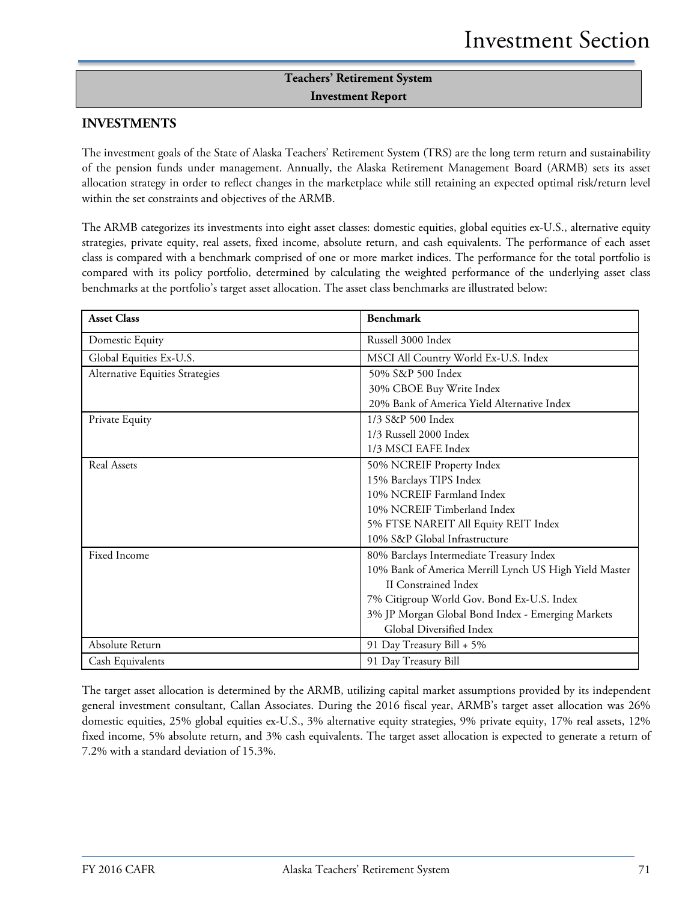# **Teachers' Retirement System Investment Report**

## **INVESTMENTS**

The investment goals of the State of Alaska Teachers' Retirement System (TRS) are the long term return and sustainability of the pension funds under management. Annually, the Alaska Retirement Management Board (ARMB) sets its asset allocation strategy in order to reflect changes in the marketplace while still retaining an expected optimal risk/return level within the set constraints and objectives of the ARMB.

The ARMB categorizes its investments into eight asset classes: domestic equities, global equities ex-U.S., alternative equity strategies, private equity, real assets, fixed income, absolute return, and cash equivalents. The performance of each asset class is compared with a benchmark comprised of one or more market indices. The performance for the total portfolio is compared with its policy portfolio, determined by calculating the weighted performance of the underlying asset class benchmarks at the portfolio's target asset allocation. The asset class benchmarks are illustrated below:

| <b>Asset Class</b>              | <b>Benchmark</b>                                       |
|---------------------------------|--------------------------------------------------------|
| Domestic Equity                 | Russell 3000 Index                                     |
| Global Equities Ex-U.S.         | MSCI All Country World Ex-U.S. Index                   |
| Alternative Equities Strategies | 50% S&P 500 Index                                      |
|                                 | 30% CBOE Buy Write Index                               |
|                                 | 20% Bank of America Yield Alternative Index            |
| Private Equity                  | 1/3 S&P 500 Index                                      |
|                                 | 1/3 Russell 2000 Index                                 |
|                                 | 1/3 MSCI EAFE Index                                    |
| Real Assets                     | 50% NCREIF Property Index                              |
|                                 | 15% Barclays TIPS Index                                |
|                                 | 10% NCREIF Farmland Index                              |
|                                 | 10% NCREIF Timberland Index                            |
|                                 | 5% FTSE NAREIT All Equity REIT Index                   |
|                                 | 10% S&P Global Infrastructure                          |
| Fixed Income                    | 80% Barclays Intermediate Treasury Index               |
|                                 | 10% Bank of America Merrill Lynch US High Yield Master |
|                                 | <b>II</b> Constrained Index                            |
|                                 | 7% Citigroup World Gov. Bond Ex-U.S. Index             |
|                                 | 3% JP Morgan Global Bond Index - Emerging Markets      |
|                                 | Global Diversified Index                               |
| Absolute Return                 | 91 Day Treasury Bill + 5%                              |
| Cash Equivalents                | 91 Day Treasury Bill                                   |

The target asset allocation is determined by the ARMB, utilizing capital market assumptions provided by its independent general investment consultant, Callan Associates. During the 2016 fiscal year, ARMB's target asset allocation was 26% domestic equities, 25% global equities ex-U.S., 3% alternative equity strategies, 9% private equity, 17% real assets, 12% fixed income, 5% absolute return, and 3% cash equivalents. The target asset allocation is expected to generate a return of 7.2% with a standard deviation of 15.3%.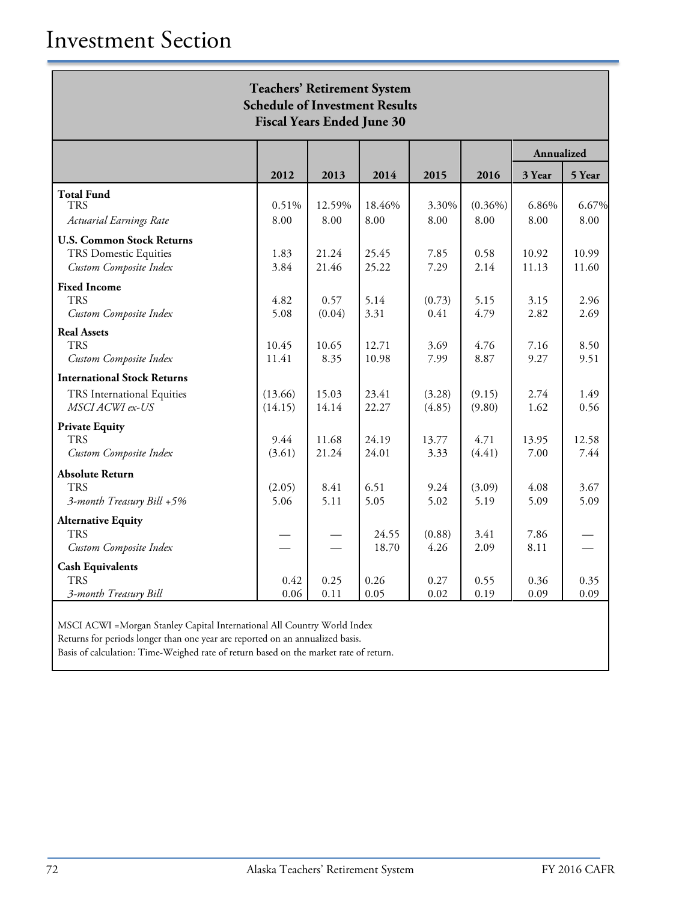| <b>Teachers' Retirement System</b><br><b>Schedule of Investment Results</b><br><b>Fiscal Years Ended June 30</b> |                    |                |                |                  |                    |                |                |  |
|------------------------------------------------------------------------------------------------------------------|--------------------|----------------|----------------|------------------|--------------------|----------------|----------------|--|
|                                                                                                                  |                    |                |                |                  |                    | Annualized     |                |  |
|                                                                                                                  | 2012               | 2013           | 2014           | 2015             | 2016               | 3 Year         | 5 Year         |  |
| <b>Total Fund</b><br>TRS<br>Actuarial Earnings Rate                                                              | 0.51%<br>8.00      | 12.59%<br>8.00 | 18.46%<br>8.00 | 3.30%<br>8.00    | $(0.36\%)$<br>8.00 | 6.86%<br>8.00  | 6.67%<br>8.00  |  |
| <b>U.S. Common Stock Returns</b><br><b>TRS Domestic Equities</b><br>Custom Composite Index                       | 1.83<br>3.84       | 21.24<br>21.46 | 25.45<br>25.22 | 7.85<br>7.29     | 0.58<br>2.14       | 10.92<br>11.13 | 10.99<br>11.60 |  |
| <b>Fixed Income</b><br><b>TRS</b><br>Custom Composite Index                                                      | 4.82<br>5.08       | 0.57<br>(0.04) | 5.14<br>3.31   | (0.73)<br>0.41   | 5.15<br>4.79       | 3.15<br>2.82   | 2.96<br>2.69   |  |
| <b>Real Assets</b><br><b>TRS</b><br>Custom Composite Index                                                       | 10.45<br>11.41     | 10.65<br>8.35  | 12.71<br>10.98 | 3.69<br>7.99     | 4.76<br>8.87       | 7.16<br>9.27   | 8.50<br>9.51   |  |
| <b>International Stock Returns</b><br>TRS International Equities<br>MSCI ACWI ex-US                              | (13.66)<br>(14.15) | 15.03<br>14.14 | 23.41<br>22.27 | (3.28)<br>(4.85) | (9.15)<br>(9.80)   | 2.74<br>1.62   | 1.49<br>0.56   |  |
| <b>Private Equity</b><br><b>TRS</b><br>Custom Composite Index                                                    | 9.44<br>(3.61)     | 11.68<br>21.24 | 24.19<br>24.01 | 13.77<br>3.33    | 4.71<br>(4.41)     | 13.95<br>7.00  | 12.58<br>7.44  |  |
| <b>Absolute Return</b><br><b>TRS</b><br>3-month Treasury Bill +5%                                                | (2.05)<br>5.06     | 8.41<br>5.11   | 6.51<br>5.05   | 9.24<br>5.02     | (3.09)<br>5.19     | 4.08<br>5.09   | 3.67<br>5.09   |  |
| <b>Alternative Equity</b><br><b>TRS</b><br>Custom Composite Index                                                |                    |                | 24.55<br>18.70 | (0.88)<br>4.26   | 3.41<br>2.09       | 7.86<br>8.11   |                |  |
| <b>Cash Equivalents</b><br><b>TRS</b><br>3-month Treasury Bill                                                   | 0.42<br>0.06       | 0.25<br>0.11   | 0.26<br>0.05   | 0.27<br>0.02     | 0.55<br>0.19       | 0.36<br>0.09   | 0.35<br>0.09   |  |

MSCI ACWI =Morgan Stanley Capital International All Country World Index

Returns for periods longer than one year are reported on an annualized basis.

Basis of calculation: Time-Weighed rate of return based on the market rate of return.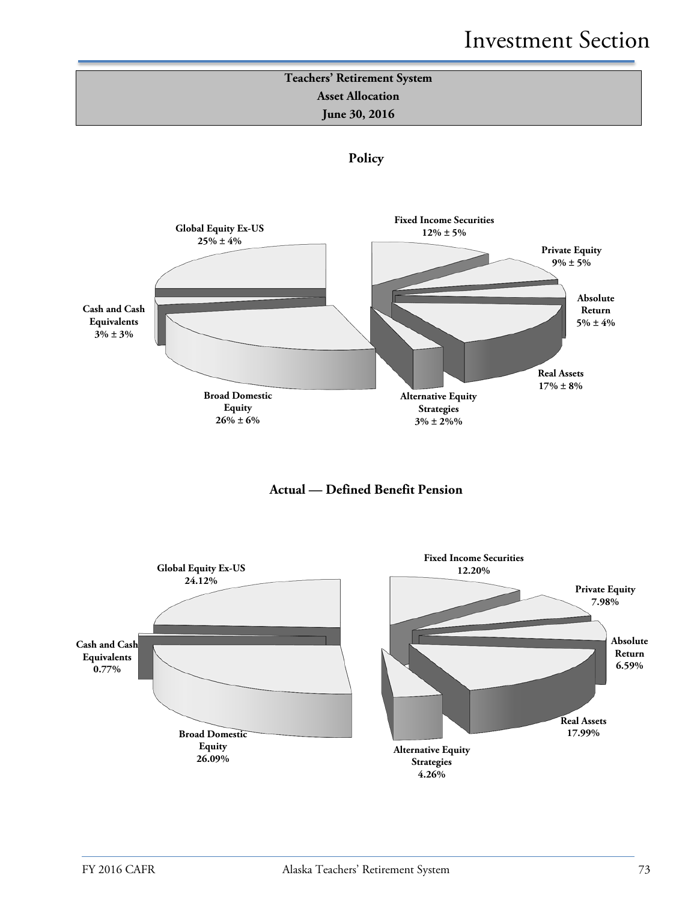







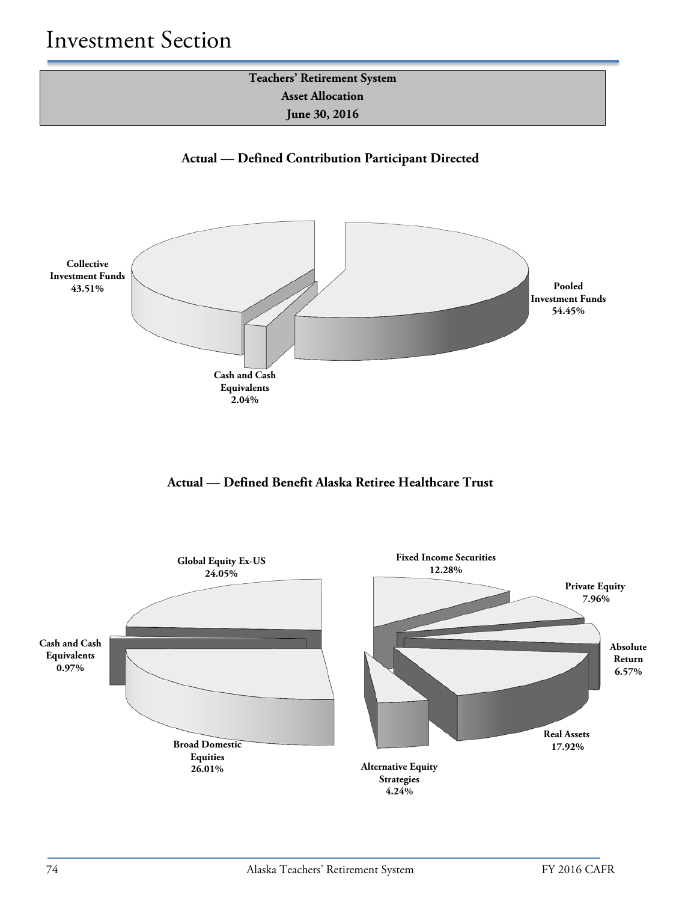**Teachers' Retirement System Asset Allocation June 30, 2016**

**Actual — Defined Contribution Participant Directed**



## **Actual — Defined Benefit Alaska Retiree Healthcare Trust**

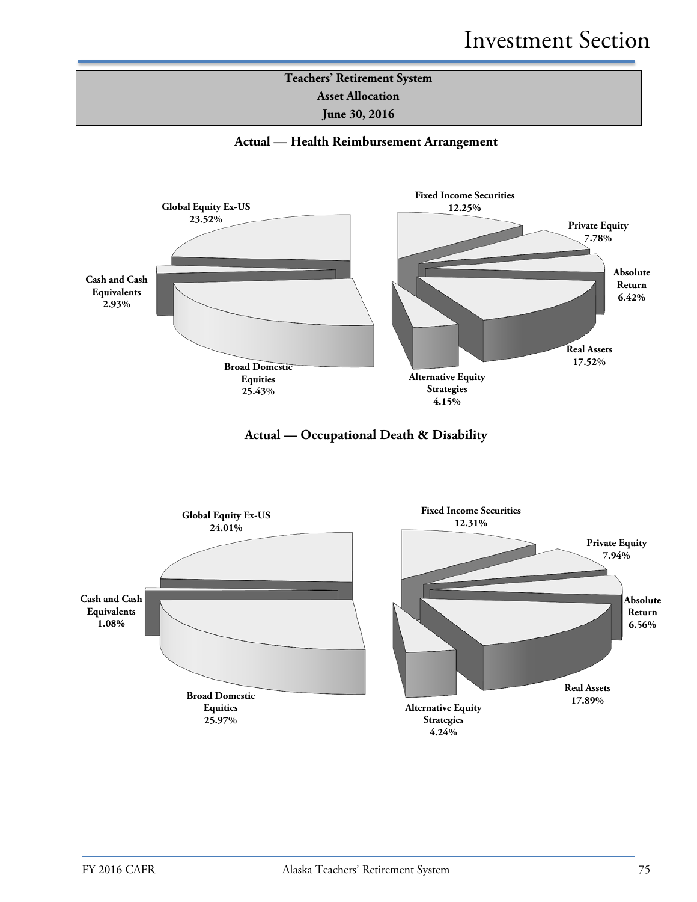





**Actual — Occupational Death & Disability**

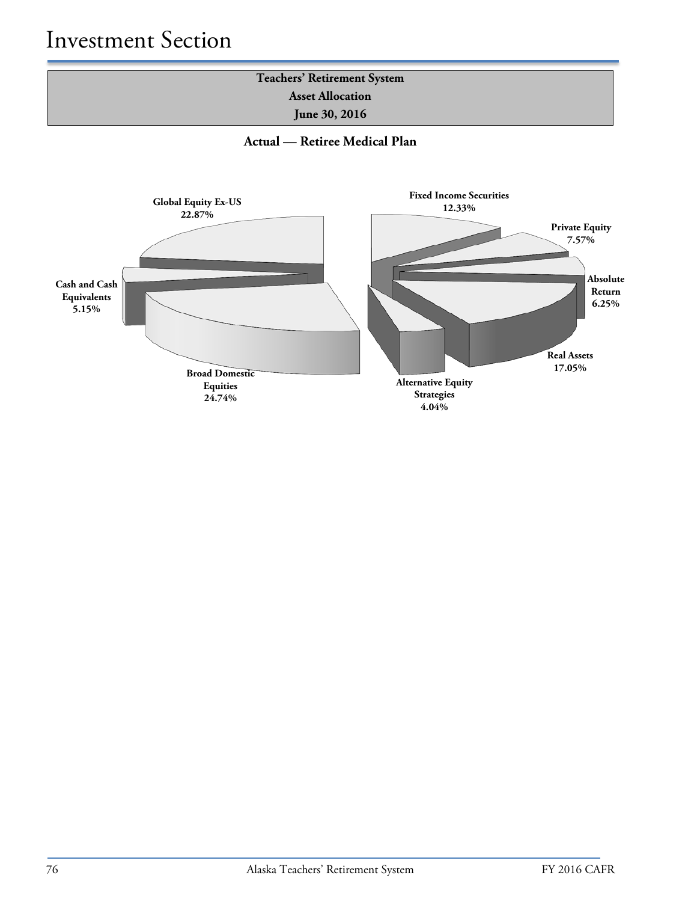

**Actual — Retiree Medical Plan**

![](_page_9_Figure_3.jpeg)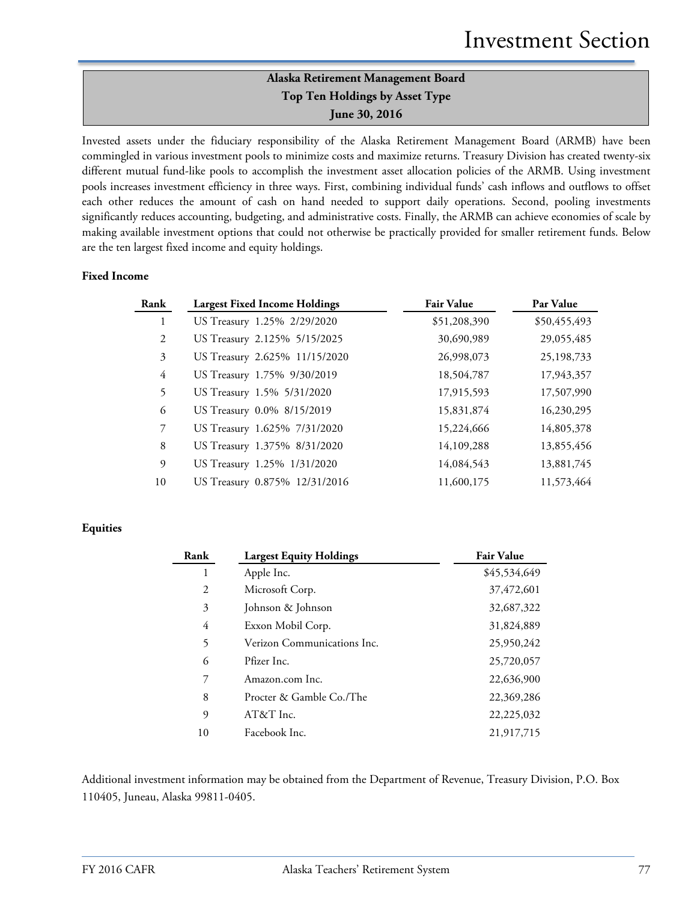# **Alaska Retirement Management Board Top Ten Holdings by Asset Type June 30, 2016**

Invested assets under the fiduciary responsibility of the Alaska Retirement Management Board (ARMB) have been commingled in various investment pools to minimize costs and maximize returns. Treasury Division has created twenty-six different mutual fund-like pools to accomplish the investment asset allocation policies of the ARMB. Using investment pools increases investment efficiency in three ways. First, combining individual funds' cash inflows and outflows to offset each other reduces the amount of cash on hand needed to support daily operations. Second, pooling investments significantly reduces accounting, budgeting, and administrative costs. Finally, the ARMB can achieve economies of scale by making available investment options that could not otherwise be practically provided for smaller retirement funds. Below are the ten largest fixed income and equity holdings.

## **Fixed Income**

| Rank           | <b>Largest Fixed Income Holdings</b> | <b>Fair Value</b> | Par Value    |
|----------------|--------------------------------------|-------------------|--------------|
| $\mathbf{1}$   | US Treasury 1.25% 2/29/2020          | \$51,208,390      | \$50,455,493 |
| 2              | US Treasury 2.125% 5/15/2025         | 30,690,989        | 29,055,485   |
| 3              | US Treasury 2.625% 11/15/2020        | 26,998,073        | 25,198,733   |
| $\overline{4}$ | US Treasury 1.75% 9/30/2019          | 18,504,787        | 17,943,357   |
| 5              | US Treasury 1.5% 5/31/2020           | 17,915,593        | 17,507,990   |
| 6              | US Treasury 0.0% 8/15/2019           | 15,831,874        | 16,230,295   |
| $\mathcal{I}$  | US Treasury 1.625% 7/31/2020         | 15,224,666        | 14,805,378   |
| 8              | US Treasury 1.375% 8/31/2020         | 14,109,288        | 13,855,456   |
| 9              | US Treasury 1.25% 1/31/2020          | 14,084,543        | 13,881,745   |
| 10             | US Treasury 0.875% 12/31/2016        | 11,600,175        | 11,573,464   |

## **Equities**

| Rank | <b>Largest Equity Holdings</b> | <b>Fair Value</b> |
|------|--------------------------------|-------------------|
| 1    | Apple Inc.                     | \$45,534,649      |
| 2    | Microsoft Corp.                | 37,472,601        |
| 3    | Johnson & Johnson              | 32,687,322        |
| 4    | Exxon Mobil Corp.              | 31,824,889        |
| 5    | Verizon Communications Inc.    | 25,950,242        |
| 6    | Pfizer Inc.                    | 25,720,057        |
| 7    | Amazon.com Inc.                | 22,636,900        |
| 8    | Procter & Gamble Co./The       | 22,369,286        |
| 9    | AT&T Inc.                      | 22, 225, 032      |
| 10   | Facebook Inc.                  | 21,917,715        |

Additional investment information may be obtained from the Department of Revenue, Treasury Division, P.O. Box 110405, Juneau, Alaska 99811-0405.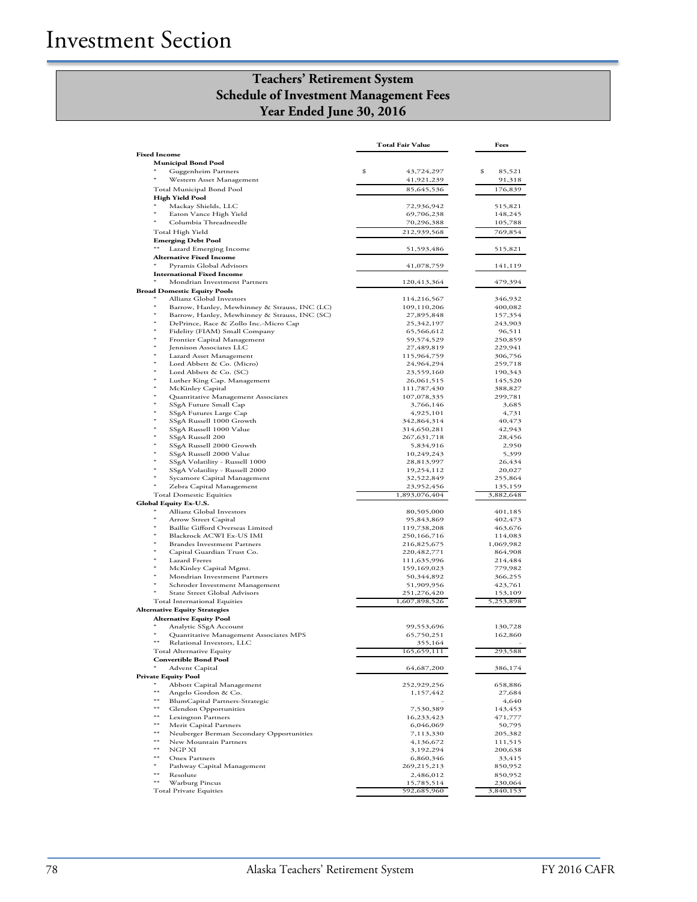# **Teachers' Retirement System Schedule of Investment Management Fees Year Ended June 30, 2016**

|                                                                           | <b>Total Fair Value</b>   | Fees               |
|---------------------------------------------------------------------------|---------------------------|--------------------|
| <b>Fixed Income</b>                                                       |                           |                    |
| <b>Municipal Bond Pool</b>                                                |                           |                    |
| Guggenheim Partners                                                       | \$<br>43,724,297          | \$<br>85,521       |
| Western Asset Management                                                  | 41,921,239                | 91,318             |
| Total Municipal Bond Pool                                                 | 85,645,536                | 176,839            |
| <b>High Yield Pool</b><br>Mackay Shields, LLC                             | 72,936,942                | 515,821            |
| Eaton Vance High Yield                                                    | 69,706,238                | 148,245            |
| Columbia Threadneedle                                                     | 70,296,388                | 105,788            |
| Total High Yield                                                          | 212,939,568               | 769,854            |
| <b>Emerging Debt Pool</b>                                                 |                           |                    |
| **<br>Lazard Emerging Income                                              | 51,593,486                | 515,821            |
| <b>Alternative Fixed Income</b>                                           |                           |                    |
| Pyramis Global Advisors                                                   | 41,078,759                | 141,119            |
| <b>International Fixed Income</b><br>Mondrian Investment Partners         |                           |                    |
| <b>Broad Domestic Equity Pools</b>                                        | 120,413,364               | 479,394            |
| Allianz Global Investors                                                  | 114,216,567               | 346,932            |
| ∗<br>Barrow, Hanley, Mewhinney & Strauss, INC (LC)                        | 109,110,206               | 400,082            |
| $^{\ast}$<br>Barrow, Hanley, Mewhinney & Strauss, INC (SC)                | 27,895,848                | 157,354            |
| ×<br>DePrince, Race & Zollo Inc.-Micro Cap<br>×                           | 25,342,197                | 243,903            |
| Fidelity (FIAM) Small Company<br>$\ast$                                   | 65,566,612                | 96,511             |
| Frontier Capital Management<br>×<br>Jennison Associates LLC               | 59,574,529<br>27,489,819  | 250,859<br>229,941 |
| ×<br>Lazard Asset Management                                              | 115,964,759               | 306,756            |
| Lord Abbett & Co. (Micro)                                                 | 24,964,294                | 259,718            |
| ×<br>Lord Abbett & Co. (SC)                                               | 23,559,160                | 190,343            |
| $\ast$<br>Luther King Cap. Management                                     | 26,061,515                | 145,520            |
| McKinley Capital                                                          | 111,787,430               | 388,827            |
| Quantitative Management Associates<br>SSgA Future Small Cap               | 107,078,335<br>3,766,146  | 299,781<br>3,685   |
| $\ast$<br>SSgA Futures Large Cap                                          | 4,925,101                 | 4,731              |
| ×<br>SSgA Russell 1000 Growth                                             | 342,864,314               | 40,473             |
| SSgA Russell 1000 Value                                                   | 314,650,281               | 42,943             |
| SSgA Russell 200                                                          | 267, 631, 718             | 28,456             |
| SSgA Russell 2000 Growth                                                  | 5,834,916                 | 2,950              |
| SSgA Russell 2000 Value<br>×<br>SSgA Volatility - Russell 1000            | 10,249,243<br>28,813,997  | 5,399<br>26,434    |
| SSgA Volatility - Russell 2000                                            | 19,254,112                | 20,027             |
| Sycamore Capital Management                                               | 32,522,849                | 255,864            |
| Zebra Capital Management                                                  | 23,952,456                | 135,159            |
| <b>Total Domestic Equities</b>                                            | 1,893,076,404             | 3,882,648          |
| <b>Global Equity Ex-U.S.</b>                                              |                           |                    |
| Allianz Global Investors<br>×                                             | 80,505,000<br>95,843,869  | 401,185<br>402,473 |
| Arrow Street Capital<br>Baillie Gifford Overseas Limited                  | 119,738,208               | 463,676            |
| Blackrock ACWI Ex-US IMI                                                  | 250,166,716               | 114,083            |
| $\ast$<br><b>Brandes Investment Partners</b>                              | 216,825,675               | 1,069,982          |
| Capital Guardian Trust Co.                                                | 220,482,771               | 864,908            |
| Lazard Freres                                                             | 111,635,996               | 214,484            |
| McKinley Capital Mgmt.<br>Mondrian Investment Partners                    | 159,169,023<br>50,344,892 | 779,982<br>366,255 |
| Schroder Investment Management                                            | 51,909,956                | 423,761            |
| State Street Global Advisors                                              | 251,276,420               | 153,109            |
| <b>Total International Equities</b>                                       | 1,607,898,526             | 5,253,898          |
| <b>Alternative Equity Strategies</b>                                      |                           |                    |
| <b>Alternative Equity Pool</b>                                            |                           |                    |
| Analytic SSgA Account<br>ж                                                | 99,553,696<br>65,750,251  | 130,728            |
| Quantitative Management Associates MPS<br>**<br>Relational Investors, LLC | 355,164                   | 162,860            |
| Total Alternative Equity                                                  | 165,659,111               | 293,588            |
| <b>Convertible Bond Pool</b>                                              |                           |                    |
| Advent Capital                                                            | 64,687,200                | 386,174            |
| <b>Private Equity Pool</b>                                                |                           |                    |
| Abbott Capital Management<br>**                                           | 252,929,256               | 658,886            |
| Angelo Gordon & Co.<br>**<br>BlumCapital Partners-Strategic               | 1,157,442                 | 27,684<br>4,640    |
| **<br><b>Glendon Opportunities</b>                                        | 7,530,389                 | 143,453            |
| **<br>Lexington Partners                                                  | 16,233,423                | 471,777            |
| **<br>Merit Capital Partners                                              | 6,046,069                 | 50,795             |
| **<br>Neuberger Berman Secondary Opportunities                            | 7,113,330                 | 205,382            |
| **<br>New Mountain Partners<br>**                                         | 4,136,672                 | 111,515            |
| NGP XI<br>**<br><b>Onex Partners</b>                                      | 3,192,294<br>6,860,346    | 200,638<br>33,415  |
| Pathway Capital Management                                                | 269,215,213               | 850,952            |
| **<br>Resolute                                                            | 2,486,012                 | 850,952            |
| **<br>Warburg Pincus                                                      | 15,785,514                | 230,064            |
| <b>Total Private Equities</b>                                             | 592,685,960               | 3,840,153          |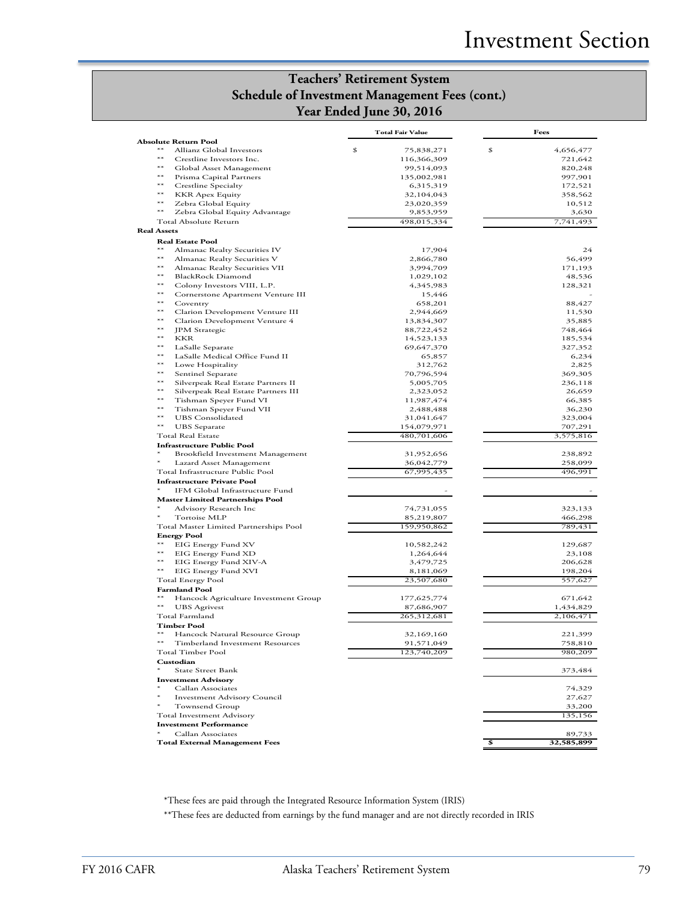# **Teachers' Retirement System Schedule of Investment Management Fees (cont.) Year Ended June 30, 2016**

|                    |                                                            | <b>Total Fair Value</b>         | Fees                       |
|--------------------|------------------------------------------------------------|---------------------------------|----------------------------|
| $**$               | <b>Absolute Return Pool</b>                                |                                 |                            |
| $**$               | Allianz Global Investors<br>Crestline Investors Inc.       | \$<br>75,838,271<br>116,366,309 | \$<br>4,656,477<br>721,642 |
| $**$               | Global Asset Management                                    | 99,514,093                      | 820,248                    |
| $**$               | Prisma Capital Partners                                    | 135,002,981                     | 997,901                    |
| $**$               | Crestline Specialty                                        | 6,315,319                       | 172,521                    |
| $***$              | <b>KKR Apex Equity</b>                                     | 32,104,043                      | 358,562                    |
| $***$              | Zebra Global Equity                                        | 23,020,359                      | 10,512                     |
| $**$               | Zebra Global Equity Advantage                              | 9,853,959                       | 3,630                      |
|                    | Total Absolute Return                                      | 498,015,334                     | 7,741,493                  |
| <b>Real Assets</b> |                                                            |                                 |                            |
|                    | <b>Real Estate Pool</b>                                    |                                 |                            |
| $***$              | Almanac Realty Securities IV                               | 17,904                          | 24                         |
| $**$               | Almanac Realty Securities V                                | 2,866,780                       | 56,499                     |
| $***$              | Almanac Realty Securities VII                              | 3,994,709                       | 171,193                    |
| $***$<br>$**$      | <b>BlackRock Diamond</b>                                   | 1,029,102                       | 48,536                     |
| $**$               | Colony Investors VIII, L.P.                                | 4,345,983                       | 128,321                    |
| $**$               | Cornerstone Apartment Venture III<br>Coventry              | 15,446<br>658,201               | 88,427                     |
| $**$               | Clarion Development Venture III                            | 2,944,669                       | 11,530                     |
| $***$              | Clarion Development Venture 4                              | 13,834,307                      | 35,885                     |
| $***$              | JPM Strategic                                              | 88,722,452                      | 748,464                    |
| $**$               | KKR                                                        | 14,523,133                      | 185,534                    |
| $**$               | LaSalle Separate                                           | 69,647,370                      | 327,352                    |
| $**$               | LaSalle Medical Office Fund II                             | 65,857                          | 6,234                      |
| $**$               | Lowe Hospitality                                           | 312,762                         | 2,825                      |
| $***$              | Sentinel Separate                                          | 70,796,594                      | 369,305                    |
| $***$              | Silverpeak Real Estate Partners II                         | 5,005,705                       | 236,118                    |
| $**$               | Silverpeak Real Estate Partners III                        | 2,323,052                       | 26,659                     |
| $**$<br>$**$       | Tishman Speyer Fund VI                                     | 11,987,474                      | 66,385                     |
| $**$               | Tishman Speyer Fund VII                                    | 2,488,488                       | 36,230                     |
| $**$               | <b>UBS</b> Consolidated<br><b>UBS</b> Separate             | 31,041,647                      | 323,004                    |
|                    | <b>Total Real Estate</b>                                   | 154,079,971<br>480,701,606      | 707,291<br>3,575,816       |
|                    | <b>Infrastructure Public Pool</b>                          |                                 |                            |
|                    | Brookfield Investment Management                           | 31,952,656                      | 238,892                    |
|                    | Lazard Asset Management                                    | 36,042,779                      | 258,099                    |
|                    | Total Infrastructure Public Pool                           | 67,995,435                      | 496,991                    |
|                    | <b>Infrastructure Private Pool</b>                         |                                 |                            |
|                    | IFM Global Infrastructure Fund                             |                                 |                            |
|                    | <b>Master Limited Partnerships Pool</b>                    |                                 |                            |
|                    | Advisory Research Inc                                      | 74,731,055                      | 323,133                    |
|                    | Tortoise MLP                                               | 85,219,807                      | 466,298                    |
|                    | Total Master Limited Partnerships Pool                     | 159,950,862                     | 789,431                    |
|                    | <b>Energy Pool</b>                                         |                                 |                            |
| $***$<br>$***$     | EIG Energy Fund XV                                         | 10,582,242                      | 129,687                    |
| $***$              | EIG Energy Fund XD                                         | 1,264,644                       | 23,108                     |
| $**$               | EIG Energy Fund XIV-A<br>EIG Energy Fund XVI               | 3,479,725<br>8,181,069          | 206,628<br>198,204         |
|                    | Total Energy Pool                                          | 23,507,680                      | 557,627                    |
|                    | <b>Farmland Pool</b>                                       |                                 |                            |
| $**$               | Hancock Agriculture Investment Group                       | 177,625,774                     | 671,642                    |
| $^{**}$            | <b>UBS</b> Agrivest                                        | 87,686,907                      | 1,434,829                  |
|                    | Total Farmland                                             | 265,312,681                     | 2,106,471                  |
|                    | <b>Timber Pool</b>                                         |                                 |                            |
| $**$               | Hancock Natural Resource Group                             | 32,169,160                      | 221,399                    |
| $**$               | Timberland Investment Resources                            | 91,571,049                      | 758,810                    |
|                    | Total Timber Pool                                          | 123,740,209                     | 980,209                    |
|                    | Custodian                                                  |                                 |                            |
| $*$                | <b>State Street Bank</b>                                   |                                 | 373,484                    |
|                    | <b>Investment Advisory</b>                                 |                                 |                            |
|                    | Callan Associates                                          |                                 | 74,329                     |
|                    | <b>Investment Advisory Council</b>                         |                                 | 27,627                     |
|                    | Townsend Group                                             |                                 | 33,200                     |
|                    | Total Investment Advisory<br><b>Investment Performance</b> |                                 | 135,156                    |
|                    | Callan Associates                                          |                                 | 89,733                     |
|                    | <b>Total External Management Fees</b>                      |                                 | \$<br>32,585,899           |
|                    |                                                            |                                 |                            |

\*These fees are paid through the Integrated Resource Information System (IRIS)

\*\*These fees are deducted from earnings by the fund manager and are not directly recorded in IRIS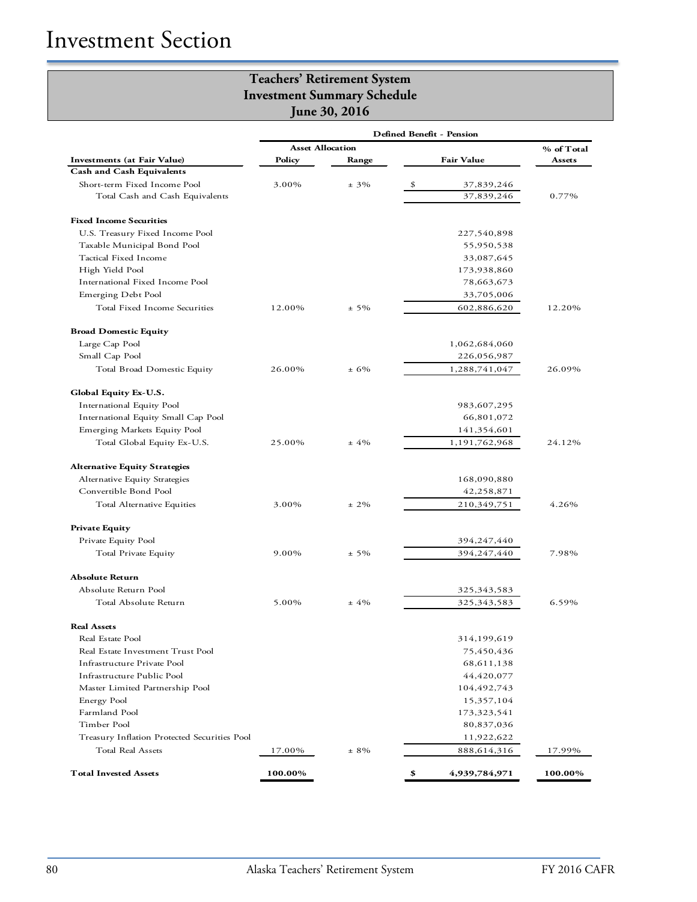|                                              | Defined Benefit - Pension |         |                     |         |  |  |
|----------------------------------------------|---------------------------|---------|---------------------|---------|--|--|
|                                              | <b>Asset Allocation</b>   |         | % of Total          |         |  |  |
| <b>Investments</b> (at Fair Value)           | Policy                    | Range   | <b>Fair Value</b>   | Assets  |  |  |
| <b>Cash and Cash Equivalents</b>             |                           |         |                     |         |  |  |
| Short-term Fixed Income Pool                 | 3.00%                     | $± 3\%$ | \$<br>37,839,246    |         |  |  |
| Total Cash and Cash Equivalents              |                           |         | 37,839,246          | 0.77%   |  |  |
| <b>Fixed Income Securities</b>               |                           |         |                     |         |  |  |
| U.S. Treasury Fixed Income Pool              |                           |         | 227,540,898         |         |  |  |
| Taxable Municipal Bond Pool                  |                           |         | 55,950,538          |         |  |  |
| Tactical Fixed Income                        |                           |         | 33,087,645          |         |  |  |
| High Yield Pool                              |                           |         | 173,938,860         |         |  |  |
| International Fixed Income Pool              |                           |         | 78,663,673          |         |  |  |
| Emerging Debt Pool                           |                           |         | 33,705,006          |         |  |  |
| Total Fixed Income Securities                | 12.00%                    | $± 5\%$ | 602,886,620         | 12.20%  |  |  |
| <b>Broad Domestic Equity</b>                 |                           |         |                     |         |  |  |
| Large Cap Pool                               |                           |         | 1,062,684,060       |         |  |  |
| Small Cap Pool                               |                           |         | 226,056,987         |         |  |  |
| Total Broad Domestic Equity                  | 26.00%                    | ± 6%    | 1,288,741,047       | 26.09%  |  |  |
| Global Equity Ex-U.S.                        |                           |         |                     |         |  |  |
| International Equity Pool                    |                           |         | 983,607,295         |         |  |  |
| International Equity Small Cap Pool          |                           |         | 66,801,072          |         |  |  |
| Emerging Markets Equity Pool                 |                           |         | 141,354,601         |         |  |  |
| Total Global Equity Ex-U.S.                  | 25.00%                    | $±4\%$  | 1,191,762,968       | 24.12%  |  |  |
| <b>Alternative Equity Strategies</b>         |                           |         |                     |         |  |  |
| Alternative Equity Strategies                |                           |         | 168,090,880         |         |  |  |
| Convertible Bond Pool                        |                           |         | 42,258,871          |         |  |  |
| Total Alternative Equities                   | 3.00%                     | $± 2\%$ | 210,349,751         | 4.26%   |  |  |
| <b>Private Equity</b>                        |                           |         |                     |         |  |  |
| Private Equity Pool                          |                           |         | 394,247,440         |         |  |  |
| Total Private Equity                         | 9.00%                     | $± 5\%$ | 394,247,440         | 7.98%   |  |  |
| <b>Absolute Return</b>                       |                           |         |                     |         |  |  |
| Absolute Return Pool                         |                           |         | 325,343,583         |         |  |  |
| Total Absolute Return                        | 5.00%                     | $±4\%$  | 325, 343, 583       | 6.59%   |  |  |
| <b>Real Assets</b>                           |                           |         |                     |         |  |  |
| Real Estate Pool                             |                           |         | 314,199,619         |         |  |  |
| Real Estate Investment Trust Pool            |                           |         | 75,450,436          |         |  |  |
| Infrastructure Private Pool                  |                           |         | 68,611,138          |         |  |  |
| Infrastructure Public Pool                   |                           |         | 44,420,077          |         |  |  |
| Master Limited Partnership Pool              |                           |         | 104,492,743         |         |  |  |
| Energy Pool                                  |                           |         | 15,357,104          |         |  |  |
| Farmland Pool                                |                           |         | 173,323,541         |         |  |  |
| Timber Pool                                  |                           |         | 80,837,036          |         |  |  |
| Treasury Inflation Protected Securities Pool |                           |         | 11,922,622          |         |  |  |
| Total Real Assets                            | 17.00%                    | $± 8\%$ | 888,614,316         | 17.99%  |  |  |
| <b>Total Invested Assets</b>                 | 100.00%                   |         | 4,939,784,971<br>\$ | 100.00% |  |  |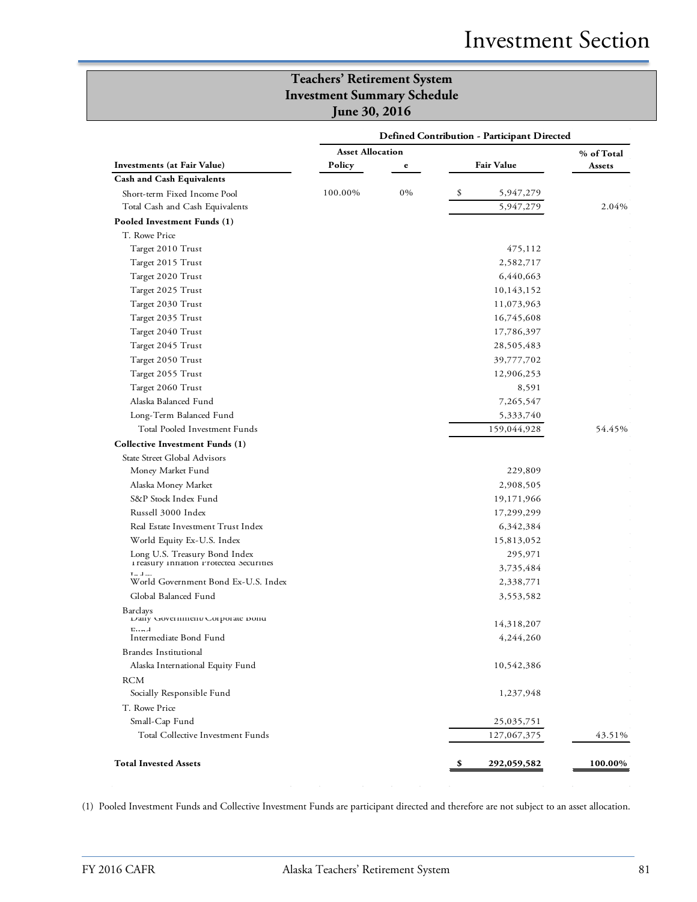|                                                  | <b>Defined Contribution - Participant Directed</b> |                         |    |                   |            |  |
|--------------------------------------------------|----------------------------------------------------|-------------------------|----|-------------------|------------|--|
|                                                  |                                                    | <b>Asset Allocation</b> |    |                   | % of Total |  |
| <b>Investments</b> (at Fair Value)               | Policy                                             | e                       |    | <b>Fair Value</b> | Assets     |  |
| <b>Cash and Cash Equivalents</b>                 |                                                    |                         |    |                   |            |  |
| Short-term Fixed Income Pool                     | 100.00%                                            | 0%                      | \$ | 5,947,279         |            |  |
| Total Cash and Cash Equivalents                  |                                                    |                         |    | 5,947,279         | 2.04%      |  |
| Pooled Investment Funds (1)                      |                                                    |                         |    |                   |            |  |
| T. Rowe Price                                    |                                                    |                         |    |                   |            |  |
| Target 2010 Trust                                |                                                    |                         |    | 475,112           |            |  |
| Target 2015 Trust                                |                                                    |                         |    | 2,582,717         |            |  |
| Target 2020 Trust                                |                                                    |                         |    | 6,440,663         |            |  |
| Target 2025 Trust                                |                                                    |                         |    | 10,143,152        |            |  |
| Target 2030 Trust                                |                                                    |                         |    | 11,073,963        |            |  |
| Target 2035 Trust                                |                                                    |                         |    | 16,745,608        |            |  |
| Target 2040 Trust                                |                                                    |                         |    | 17,786,397        |            |  |
| Target 2045 Trust                                |                                                    |                         |    | 28,505,483        |            |  |
| Target 2050 Trust                                |                                                    |                         |    | 39,777,702        |            |  |
| Target 2055 Trust                                |                                                    |                         |    | 12,906,253        |            |  |
| Target 2060 Trust                                |                                                    |                         |    | 8,591             |            |  |
| Alaska Balanced Fund                             |                                                    |                         |    | 7,265,547         |            |  |
| Long-Term Balanced Fund                          |                                                    |                         |    | 5,333,740         |            |  |
| Total Pooled Investment Funds                    |                                                    |                         |    | 159,044,928       | 54.45%     |  |
| Collective Investment Funds (1)                  |                                                    |                         |    |                   |            |  |
| State Street Global Advisors                     |                                                    |                         |    |                   |            |  |
| Money Market Fund                                |                                                    |                         |    | 229,809           |            |  |
| Alaska Money Market                              |                                                    |                         |    | 2,908,505         |            |  |
| S&P Stock Index Fund                             |                                                    |                         |    | 19,171,966        |            |  |
| Russell 3000 Index                               |                                                    |                         |    | 17,299,299        |            |  |
| Real Estate Investment Trust Index               |                                                    |                         |    | 6,342,384         |            |  |
| World Equity Ex-U.S. Index                       |                                                    |                         |    | 15,813,052        |            |  |
| Long U.S. Treasury Bond Index                    |                                                    |                         |    | 295,971           |            |  |
| I reasury Innation Protected Securities          |                                                    |                         |    | 3,735,484         |            |  |
| $T = 1$ .<br>World Government Bond Ex-U.S. Index |                                                    |                         |    | 2,338,771         |            |  |
| Global Balanced Fund                             |                                                    |                         |    | 3,553,582         |            |  |
| <b>Barclays</b>                                  |                                                    |                         |    |                   |            |  |
| Daily Government/Corporate Dond                  |                                                    |                         |    | 14,318,207        |            |  |
| $E$ $\sim$ $\lambda$<br>Intermediate Bond Fund   |                                                    |                         |    | 4,244,260         |            |  |
| Brandes Institutional                            |                                                    |                         |    |                   |            |  |
| Alaska International Equity Fund                 |                                                    |                         |    | 10,542,386        |            |  |
|                                                  |                                                    |                         |    |                   |            |  |
| <b>RCM</b><br>Socially Responsible Fund          |                                                    |                         |    |                   |            |  |
|                                                  |                                                    |                         |    | 1,237,948         |            |  |
| T. Rowe Price                                    |                                                    |                         |    |                   |            |  |
| Small-Cap Fund                                   |                                                    |                         |    | 25,035,751        |            |  |
| Total Collective Investment Funds                |                                                    |                         |    | 127,067,375       | 43.51%     |  |
| <b>Total Invested Assets</b>                     |                                                    |                         | Ş, | 292,059,582       | 100.00%    |  |

(1) Pooled Investment Funds and Collective Investment Funds are participant directed and therefore are not subject to an asset allocation.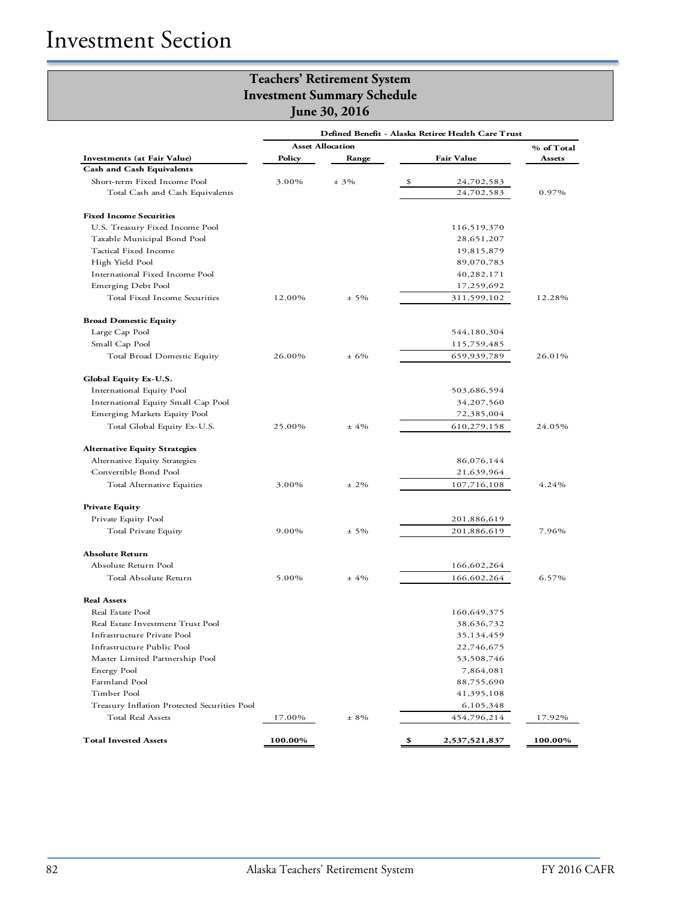**June 30, 2016**

|                                              |         |                         | Defined Benefit - Alaska Retiree Health Care Trust |            |
|----------------------------------------------|---------|-------------------------|----------------------------------------------------|------------|
|                                              |         | <b>Asset Allocation</b> |                                                    | % of Total |
| Investments (at Fair Value)                  | Policy  | Range                   | <b>Fair Value</b>                                  | Assets     |
| <b>Cash and Cash Equivalents</b>             |         |                         |                                                    |            |
| Short-term Fixed Income Pool                 | 3.00%   | $± 3\%$                 | \$<br>24,702,583                                   |            |
| Total Cash and Cash Equivalents              |         |                         | 24,702,583                                         | 0.97%      |
| <b>Fixed Income Securities</b>               |         |                         |                                                    |            |
| U.S. Treasury Fixed Income Pool              |         |                         | 116,519,370                                        |            |
| Taxable Municipal Bond Pool                  |         |                         | 28,651,207                                         |            |
| Tactical Fixed Income                        |         |                         | 19,815,879                                         |            |
| High Yield Pool                              |         |                         | 89,070,783                                         |            |
| International Fixed Income Pool              |         |                         | 40,282,171                                         |            |
| Emerging Debt Pool                           |         |                         | 17,259,692                                         |            |
| Total Fixed Income Securities                | 12.00%  | $± 5\%$                 | 311,599,102                                        | 12.28%     |
| <b>Broad Domestic Equity</b>                 |         |                         |                                                    |            |
| Large Cap Pool                               |         |                         | 544,180,304                                        |            |
| Small Cap Pool                               |         |                         | 115,759,485                                        |            |
| Total Broad Domestic Equity                  | 26.00%  | $± 6\%$                 | 659,939,789                                        | 26.01%     |
| <b>Global Equity Ex-U.S.</b>                 |         |                         |                                                    |            |
| International Equity Pool                    |         |                         | 503,686,594                                        |            |
| International Equity Small Cap Pool          |         |                         | 34,207,560                                         |            |
| Emerging Markets Equity Pool                 |         |                         | 72,385,004                                         |            |
| Total Global Equity Ex-U.S.                  | 25.00%  | $±4\%$                  | 610,279,158                                        | 24.05%     |
| <b>Alternative Equity Strategies</b>         |         |                         |                                                    |            |
| Alternative Equity Strategies                |         |                         | 86,076,144                                         |            |
| Convertible Bond Pool                        |         |                         | 21,639,964                                         |            |
| Total Alternative Equities                   | 3.00%   | $± 2\%$                 | 107,716,108                                        | 4.24%      |
| <b>Private Equity</b>                        |         |                         |                                                    |            |
| Private Equity Pool                          |         |                         | 201,886,619                                        |            |
| Total Private Equity                         | 9.00%   | $± 5\%$                 | 201,886,619                                        | 7.96%      |
| <b>Absolute Return</b>                       |         |                         |                                                    |            |
| Absolute Return Pool                         |         |                         | 166,602,264                                        |            |
| Total Absolute Return                        | 5.00%   | $±4\%$                  | 166,602,264                                        | 6.57%      |
| <b>Real Assets</b>                           |         |                         |                                                    |            |
| Real Estate Pool                             |         |                         | 160,649,375                                        |            |
| Real Estate Investment Trust Pool            |         |                         | 38,636,732                                         |            |
| Infrastructure Private Pool                  |         |                         | 35,134,459                                         |            |
| Infrastructure Public Pool                   |         |                         | 22,746,675                                         |            |
| Master Limited Partnership Pool              |         |                         | 53,508,746                                         |            |
| Energy Pool                                  |         |                         | 7,864,081                                          |            |
| Farmland Pool                                |         |                         | 88,755,690                                         |            |
| Timber Pool                                  |         |                         | 41,395,108                                         |            |
| Treasury Inflation Protected Securities Pool |         |                         | 6,105,348                                          |            |
| Total Real Assets                            | 17.00%  | $± 8\%$                 | 454,796,214                                        | 17.92%     |
| <b>Total Invested Assets</b>                 | 100.00% |                         | \$<br>2,537,521,837                                | 100.00%    |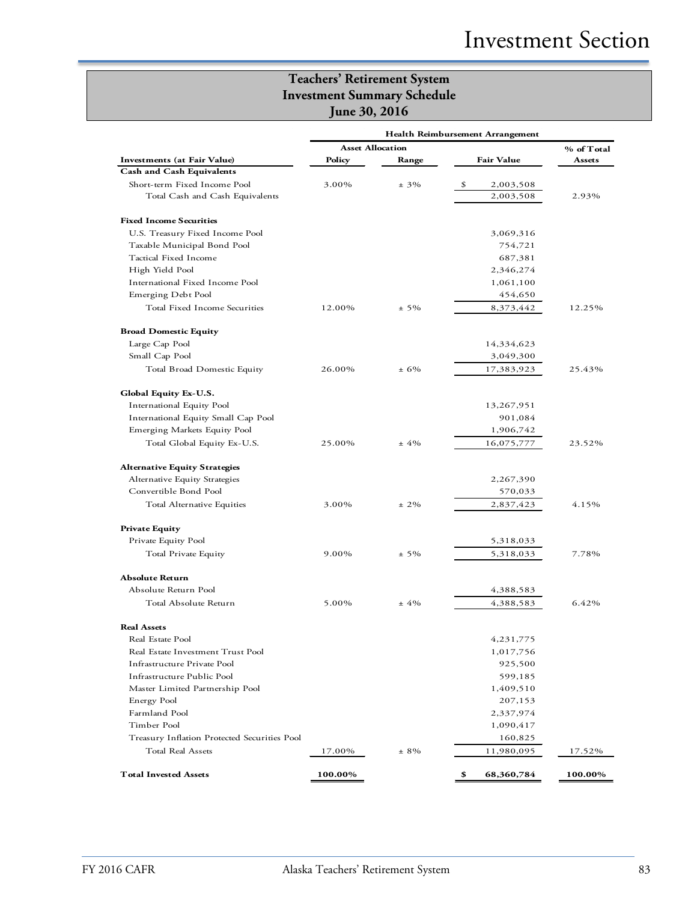|                                              | Health Reimbursement Arrangement |            |                   |         |  |
|----------------------------------------------|----------------------------------|------------|-------------------|---------|--|
|                                              | <b>Asset Allocation</b>          | % of Total |                   |         |  |
| Investments (at Fair Value)                  | Policy                           | Range      | <b>Fair Value</b> | Assets  |  |
| <b>Cash and Cash Equivalents</b>             |                                  |            |                   |         |  |
| Short-term Fixed Income Pool                 | 3.00%                            | $± 3\%$    | \$<br>2,003,508   |         |  |
| Total Cash and Cash Equivalents              |                                  |            | 2,003,508         | 2.93%   |  |
| <b>Fixed Income Securities</b>               |                                  |            |                   |         |  |
| U.S. Treasury Fixed Income Pool              |                                  |            | 3,069,316         |         |  |
| Taxable Municipal Bond Pool                  |                                  |            | 754,721           |         |  |
| Tactical Fixed Income                        |                                  |            | 687,381           |         |  |
| High Yield Pool                              |                                  |            | 2,346,274         |         |  |
| International Fixed Income Pool              |                                  |            | 1,061,100         |         |  |
| Emerging Debt Pool                           |                                  |            | 454,650           |         |  |
| Total Fixed Income Securities                | 12.00%                           | $± 5\%$    | 8,373,442         | 12.25%  |  |
| <b>Broad Domestic Equity</b>                 |                                  |            |                   |         |  |
| Large Cap Pool                               |                                  |            | 14,334,623        |         |  |
| Small Cap Pool                               |                                  |            | 3,049,300         |         |  |
| Total Broad Domestic Equity                  | 26.00%                           | $+6%$      | 17,383,923        | 25.43%  |  |
|                                              |                                  |            |                   |         |  |
| <b>Global Equity Ex-U.S.</b>                 |                                  |            |                   |         |  |
| International Equity Pool                    |                                  |            | 13,267,951        |         |  |
| International Equity Small Cap Pool          |                                  |            | 901,084           |         |  |
| Emerging Markets Equity Pool                 |                                  |            | 1,906,742         |         |  |
| Total Global Equity Ex-U.S.                  | 25.00%                           | $±4\%$     | 16,075,777        | 23.52%  |  |
| <b>Alternative Equity Strategies</b>         |                                  |            |                   |         |  |
| Alternative Equity Strategies                |                                  |            | 2,267,390         |         |  |
| Convertible Bond Pool                        |                                  |            | 570,033           |         |  |
| Total Alternative Equities                   | 3.00%                            | $± 2\%$    | 2,837,423         | 4.15%   |  |
| <b>Private Equity</b>                        |                                  |            |                   |         |  |
| Private Equity Pool                          |                                  |            | 5,318,033         |         |  |
| Total Private Equity                         | 9.00%                            | $± 5\%$    | 5,318,033         | 7.78%   |  |
| <b>Absolute Return</b>                       |                                  |            |                   |         |  |
| Absolute Return Pool                         |                                  |            | 4,388,583         |         |  |
| Total Absolute Return                        | 5.00%                            | $± 4\%$    | 4,388,583         | 6.42%   |  |
| <b>Real Assets</b>                           |                                  |            |                   |         |  |
| Real Estate Pool                             |                                  |            | 4,231,775         |         |  |
| Real Estate Investment Trust Pool            |                                  |            | 1,017,756         |         |  |
| Infrastructure Private Pool                  |                                  |            | 925,500           |         |  |
| Infrastructure Public Pool                   |                                  |            | 599,185           |         |  |
| Master Limited Partnership Pool              |                                  |            | 1,409,510         |         |  |
| Energy Pool                                  |                                  |            | 207,153           |         |  |
| Farmland Pool                                |                                  |            | 2,337,974         |         |  |
| Timber Pool                                  |                                  |            | 1,090,417         |         |  |
| Treasury Inflation Protected Securities Pool |                                  |            | 160,825           |         |  |
| Total Real Assets                            | 17.00%                           | $± 8\%$    | 11,980,095        | 17.52%  |  |
| <b>Total Invested Assets</b>                 | 100.00%                          |            | \$<br>68,360,784  | 100.00% |  |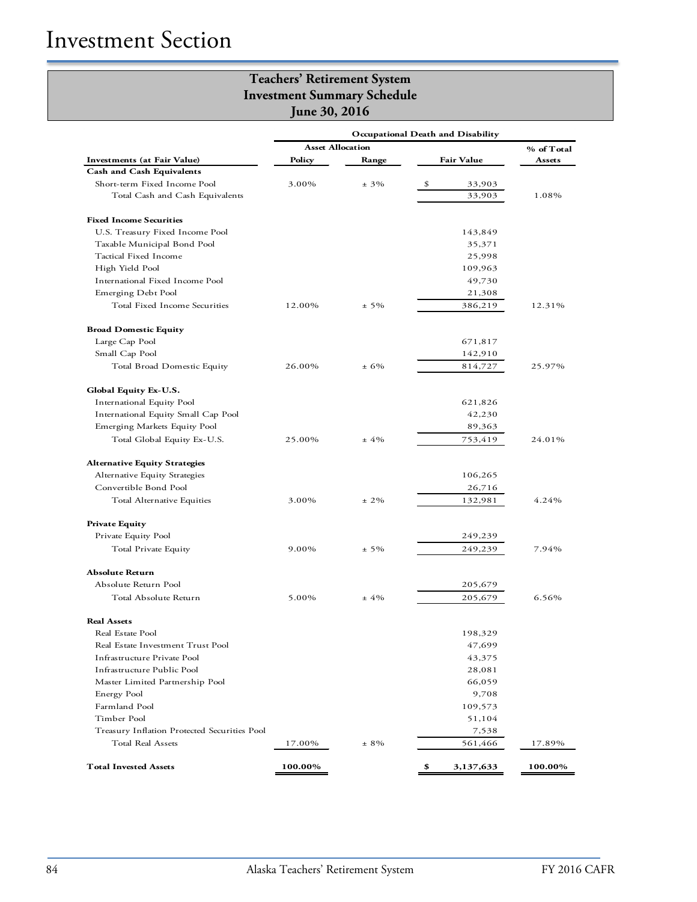|                                              | Occupational Death and Disability |          |                   |            |  |
|----------------------------------------------|-----------------------------------|----------|-------------------|------------|--|
|                                              | <b>Asset Allocation</b>           |          |                   | % of Total |  |
| Investments (at Fair Value)                  | Policy                            | Range    | <b>Fair Value</b> | Assets     |  |
| <b>Cash and Cash Equivalents</b>             |                                   |          |                   |            |  |
| Short-term Fixed Income Pool                 | 3.00%                             | $± 3\%$  | \$<br>33,903      |            |  |
| Total Cash and Cash Equivalents              |                                   |          | 33,903            | 1.08%      |  |
| <b>Fixed Income Securities</b>               |                                   |          |                   |            |  |
| U.S. Treasury Fixed Income Pool              |                                   |          | 143,849           |            |  |
| Taxable Municipal Bond Pool                  |                                   |          | 35,371            |            |  |
| Tactical Fixed Income                        |                                   |          | 25,998            |            |  |
| High Yield Pool                              |                                   |          | 109,963           |            |  |
| International Fixed Income Pool              |                                   |          | 49,730            |            |  |
| Emerging Debt Pool                           |                                   |          | 21,308            |            |  |
| Total Fixed Income Securities                | 12.00%                            | $± 5\%$  | 386,219           | 12.31%     |  |
| <b>Broad Domestic Equity</b>                 |                                   |          |                   |            |  |
| Large Cap Pool                               |                                   |          | 671,817           |            |  |
| Small Cap Pool                               |                                   |          | 142,910           |            |  |
| Total Broad Domestic Equity                  | 26.00%                            | $± 6\%$  | 814,727           | 25.97%     |  |
| Global Equity Ex-U.S.                        |                                   |          |                   |            |  |
| International Equity Pool                    |                                   |          | 621,826           |            |  |
| International Equity Small Cap Pool          |                                   |          | 42,230            |            |  |
| Emerging Markets Equity Pool                 |                                   |          | 89,363            |            |  |
| Total Global Equity Ex-U.S.                  | 25.00%                            | $±4\%$   | 753,419           | 24.01%     |  |
| <b>Alternative Equity Strategies</b>         |                                   |          |                   |            |  |
| Alternative Equity Strategies                |                                   |          | 106,265           |            |  |
| Convertible Bond Pool                        |                                   |          | 26,716            |            |  |
| Total Alternative Equities                   | 3.00%                             | $\pm$ 2% | 132,981           | 4.24%      |  |
| <b>Private Equity</b>                        |                                   |          |                   |            |  |
| Private Equity Pool                          |                                   |          | 249,239           |            |  |
| Total Private Equity                         | 9.00%                             | $± 5\%$  | 249,239           | 7.94%      |  |
| <b>Absolute Return</b>                       |                                   |          |                   |            |  |
| Absolute Return Pool                         |                                   |          | 205,679           |            |  |
| Total Absolute Return                        | 5.00%                             | $±4\%$   | 205,679           | 6.56%      |  |
| <b>Real Assets</b>                           |                                   |          |                   |            |  |
| Real Estate Pool                             |                                   |          | 198,329           |            |  |
| Real Estate Investment Trust Pool            |                                   |          | 47,699            |            |  |
| Infrastructure Private Pool                  |                                   |          | 43,375            |            |  |
| Infrastructure Public Pool                   |                                   |          | 28,081            |            |  |
| Master Limited Partnership Pool              |                                   |          | 66,059            |            |  |
| Energy Pool                                  |                                   |          | 9,708             |            |  |
| Farmland Pool                                |                                   |          | 109,573           |            |  |
| Timber Pool                                  |                                   |          | 51,104            |            |  |
| Treasury Inflation Protected Securities Pool |                                   |          | 7,538             |            |  |
| Total Real Assets                            | 17.00%                            | $± 8\%$  | 561,466           | 17.89%     |  |
| <b>Total Invested Assets</b>                 | 100.00%                           |          | \$<br>3,137,633   | 100.00%    |  |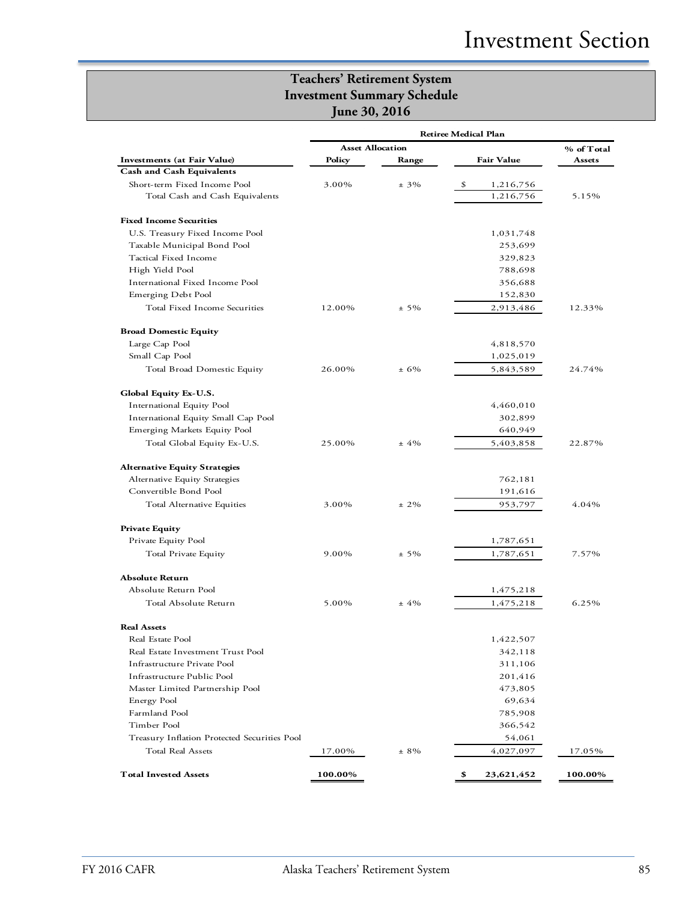|                                              | <b>Retiree Medical Plan</b> |         |                   |            |
|----------------------------------------------|-----------------------------|---------|-------------------|------------|
|                                              | <b>Asset Allocation</b>     |         |                   | % of Total |
| <b>Investments</b> (at Fair Value)           | Policy                      | Range   | <b>Fair Value</b> | Assets     |
| <b>Cash and Cash Equivalents</b>             |                             |         |                   |            |
| Short-term Fixed Income Pool                 | 3.00%                       | $± 3\%$ | \$<br>1,216,756   |            |
| Total Cash and Cash Equivalents              |                             |         | 1,216,756         | 5.15%      |
| <b>Fixed Income Securities</b>               |                             |         |                   |            |
| U.S. Treasury Fixed Income Pool              |                             |         | 1,031,748         |            |
| Taxable Municipal Bond Pool                  |                             |         | 253,699           |            |
| Tactical Fixed Income                        |                             |         | 329,823           |            |
| High Yield Pool                              |                             |         | 788,698           |            |
| International Fixed Income Pool              |                             |         | 356,688           |            |
| Emerging Debt Pool                           |                             |         | 152,830           |            |
| Total Fixed Income Securities                | 12.00%                      | $± 5\%$ | 2,913,486         | 12.33%     |
| <b>Broad Domestic Equity</b>                 |                             |         |                   |            |
| Large Cap Pool                               |                             |         | 4,818,570         |            |
| Small Cap Pool                               |                             |         | 1,025,019         |            |
| Total Broad Domestic Equity                  | 26.00%                      | $±6\%$  | 5,843,589         | 24.74%     |
| Global Equity Ex-U.S.                        |                             |         |                   |            |
| International Equity Pool                    |                             |         | 4,460,010         |            |
| International Equity Small Cap Pool          |                             |         | 302,899           |            |
| Emerging Markets Equity Pool                 |                             |         | 640,949           |            |
| Total Global Equity Ex-U.S.                  | 25.00%                      | $± 4\%$ | 5,403,858         | 22.87%     |
| <b>Alternative Equity Strategies</b>         |                             |         |                   |            |
| Alternative Equity Strategies                |                             |         | 762,181           |            |
| Convertible Bond Pool                        |                             |         | 191,616           |            |
| Total Alternative Equities                   | 3.00%                       | $± 2\%$ | 953,797           | 4.04%      |
| <b>Private Equity</b>                        |                             |         |                   |            |
| Private Equity Pool                          |                             |         | 1,787,651         |            |
| Total Private Equity                         | 9.00%                       | $± 5\%$ | 1,787,651         | 7.57%      |
| <b>Absolute Return</b>                       |                             |         |                   |            |
| Absolute Return Pool                         |                             |         | 1,475,218         |            |
| Total Absolute Return                        | 5.00%                       | $±4\%$  | 1,475,218         | 6.25%      |
| <b>Real Assets</b>                           |                             |         |                   |            |
| Real Estate Pool                             |                             |         | 1,422,507         |            |
| Real Estate Investment Trust Pool            |                             |         | 342,118           |            |
| Infrastructure Private Pool                  |                             |         | 311,106           |            |
| Infrastructure Public Pool                   |                             |         | 201,416           |            |
| Master Limited Partnership Pool              |                             |         | 473,805           |            |
| Energy Pool                                  |                             |         | 69,634            |            |
| Farmland Pool                                |                             |         | 785,908           |            |
| Timber Pool                                  |                             |         | 366,542           |            |
| Treasury Inflation Protected Securities Pool |                             |         | 54,061            |            |
| Total Real Assets                            | 17.00%                      | $± 8\%$ | 4,027,097         | 17.05%     |
| <b>Total Invested Assets</b>                 | 100.00%                     |         | \$<br>23,621,452  | 100.00%    |